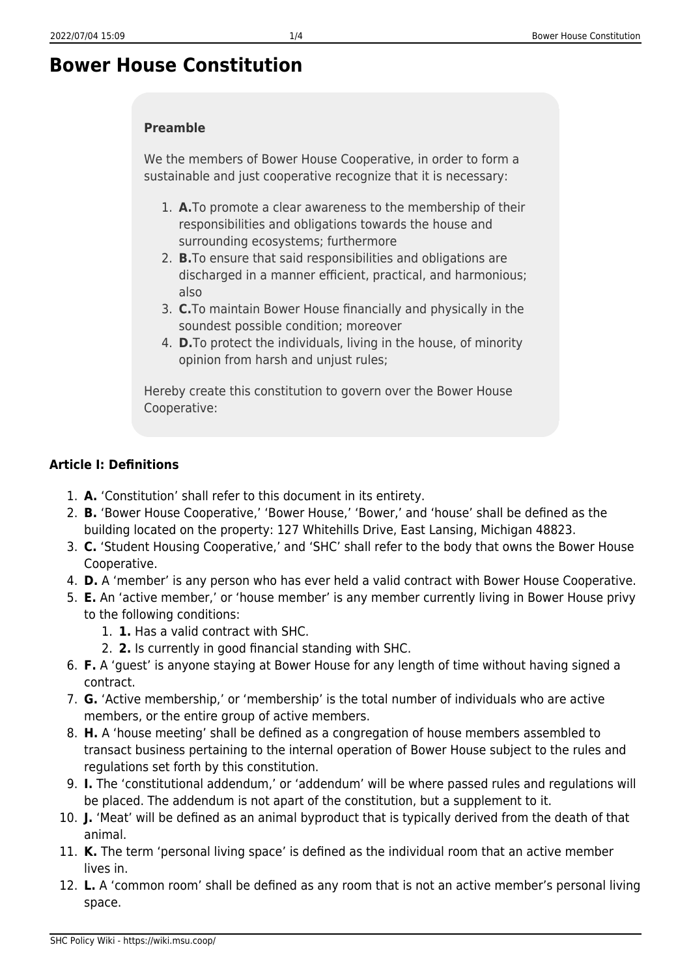# **Bower House Constitution**

#### **Preamble**

We the members of Bower House Cooperative, in order to form a sustainable and just cooperative recognize that it is necessary:

- 1. **A.**To promote a clear awareness to the membership of their responsibilities and obligations towards the house and surrounding ecosystems; furthermore
- 2. **B.**To ensure that said responsibilities and obligations are discharged in a manner efficient, practical, and harmonious; also
- 3. **C.**To maintain Bower House financially and physically in the soundest possible condition; moreover
- 4. **D.**To protect the individuals, living in the house, of minority opinion from harsh and unjust rules;

Hereby create this constitution to govern over the Bower House Cooperative:

#### **Article I: Definitions**

- 1. **A.** 'Constitution' shall refer to this document in its entirety.
- 2. **B.** 'Bower House Cooperative,' 'Bower House,' 'Bower,' and 'house' shall be defined as the building located on the property: 127 Whitehills Drive, East Lansing, Michigan 48823.
- 3. **C.** 'Student Housing Cooperative,' and 'SHC' shall refer to the body that owns the Bower House Cooperative.
- 4. **D.** A 'member' is any person who has ever held a valid contract with Bower House Cooperative.
- 5. **E.** An 'active member,' or 'house member' is any member currently living in Bower House privy to the following conditions:
	- 1. **1.** Has a valid contract with SHC.
	- 2. **2.** Is currently in good financial standing with SHC.
- 6. **F.** A 'guest' is anyone staying at Bower House for any length of time without having signed a contract.
- 7. **G.** 'Active membership,' or 'membership' is the total number of individuals who are active members, or the entire group of active members.
- 8. **H.** A 'house meeting' shall be defined as a congregation of house members assembled to transact business pertaining to the internal operation of Bower House subject to the rules and regulations set forth by this constitution.
- 9. **I.** The 'constitutional addendum,' or 'addendum' will be where passed rules and regulations will be placed. The addendum is not apart of the constitution, but a supplement to it.
- 10. **J.** 'Meat' will be defined as an animal byproduct that is typically derived from the death of that animal.
- 11. **K.** The term 'personal living space' is defined as the individual room that an active member lives in.
- 12. **L.** A 'common room' shall be defined as any room that is not an active member's personal living space.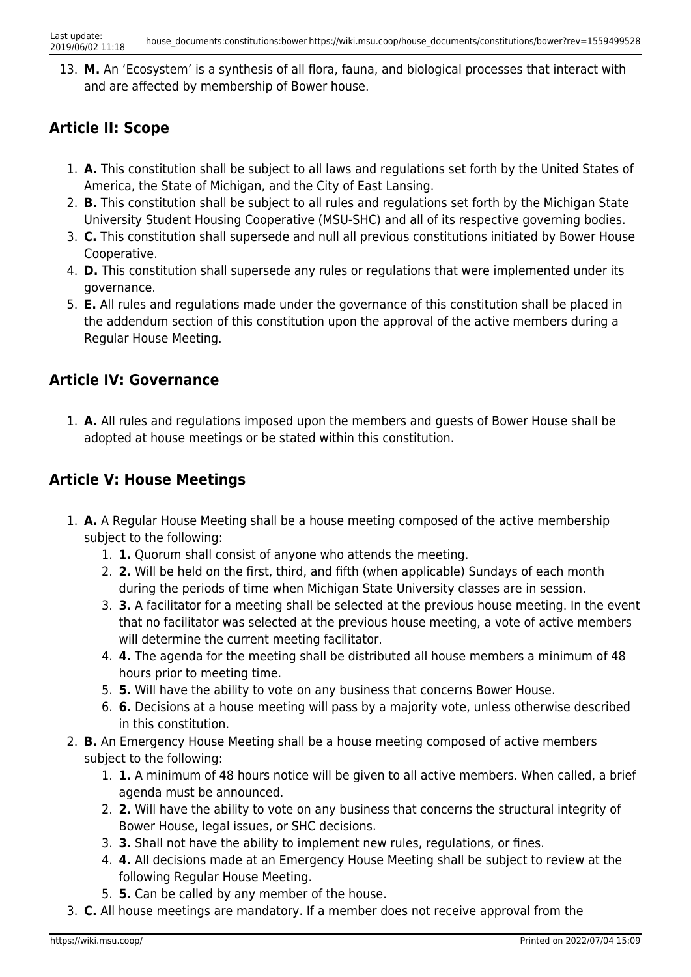13. **M.** An 'Ecosystem' is a synthesis of all flora, fauna, and biological processes that interact with and are affected by membership of Bower house.

### **Article II: Scope**

- 1. **A.** This constitution shall be subject to all laws and regulations set forth by the United States of America, the State of Michigan, and the City of East Lansing.
- 2. **B.** This constitution shall be subject to all rules and regulations set forth by the Michigan State University Student Housing Cooperative (MSU-SHC) and all of its respective governing bodies.
- 3. **C.** This constitution shall supersede and null all previous constitutions initiated by Bower House Cooperative.
- 4. **D.** This constitution shall supersede any rules or regulations that were implemented under its governance.
- 5. **E.** All rules and regulations made under the governance of this constitution shall be placed in the addendum section of this constitution upon the approval of the active members during a Regular House Meeting.

### **Article IV: Governance**

1. **A.** All rules and regulations imposed upon the members and guests of Bower House shall be adopted at house meetings or be stated within this constitution.

#### **Article V: House Meetings**

- 1. **A.** A Regular House Meeting shall be a house meeting composed of the active membership subject to the following:
	- 1. **1.** Quorum shall consist of anyone who attends the meeting.
	- 2. **2.** Will be held on the first, third, and fifth (when applicable) Sundays of each month during the periods of time when Michigan State University classes are in session.
	- 3. **3.** A facilitator for a meeting shall be selected at the previous house meeting. In the event that no facilitator was selected at the previous house meeting, a vote of active members will determine the current meeting facilitator.
	- 4. **4.** The agenda for the meeting shall be distributed all house members a minimum of 48 hours prior to meeting time.
	- 5. **5.** Will have the ability to vote on any business that concerns Bower House.
	- 6. **6.** Decisions at a house meeting will pass by a majority vote, unless otherwise described in this constitution.
- 2. **B.** An Emergency House Meeting shall be a house meeting composed of active members subject to the following:
	- 1. **1.** A minimum of 48 hours notice will be given to all active members. When called, a brief agenda must be announced.
	- 2. **2.** Will have the ability to vote on any business that concerns the structural integrity of Bower House, legal issues, or SHC decisions.
	- 3. **3.** Shall not have the ability to implement new rules, regulations, or fines.
	- 4. **4.** All decisions made at an Emergency House Meeting shall be subject to review at the following Regular House Meeting.
	- 5. **5.** Can be called by any member of the house.
- 3. **C.** All house meetings are mandatory. If a member does not receive approval from the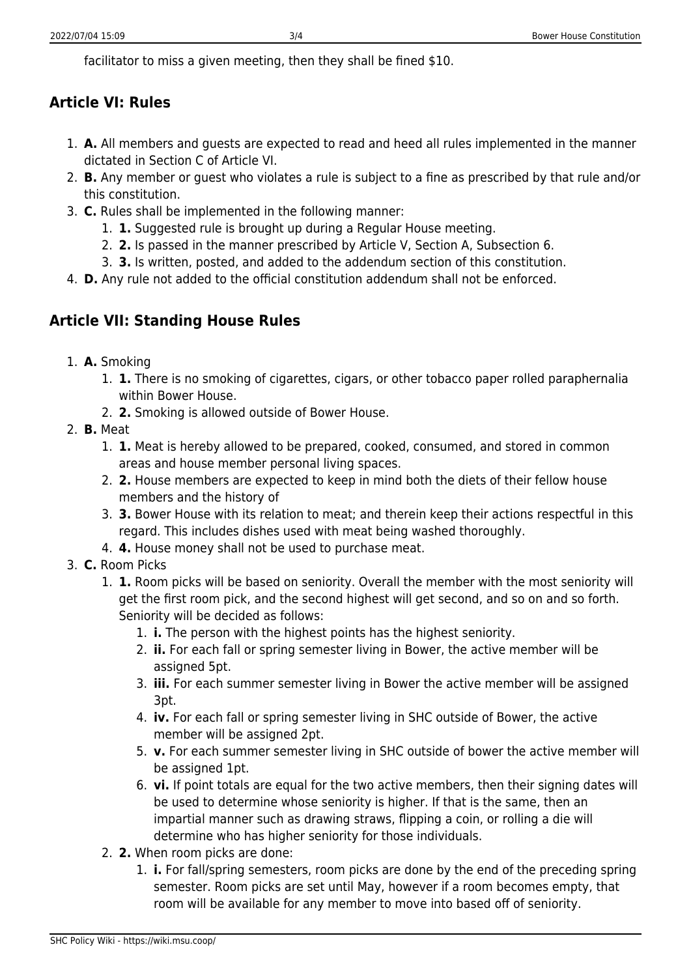facilitator to miss a given meeting, then they shall be fined \$10.

## **Article VI: Rules**

- 1. **A.** All members and guests are expected to read and heed all rules implemented in the manner dictated in Section C of Article VI.
- 2. **B.** Any member or guest who violates a rule is subject to a fine as prescribed by that rule and/or this constitution.
- 3. **C.** Rules shall be implemented in the following manner:
	- 1. **1.** Suggested rule is brought up during a Regular House meeting.
	- 2. **2.** Is passed in the manner prescribed by Article V, Section A, Subsection 6.
	- 3. **3.** Is written, posted, and added to the addendum section of this constitution.
- 4. **D.** Any rule not added to the official constitution addendum shall not be enforced.

# **Article VII: Standing House Rules**

- 1. **A.** Smoking
	- 1. **1.** There is no smoking of cigarettes, cigars, or other tobacco paper rolled paraphernalia within Bower House.
	- 2. **2.** Smoking is allowed outside of Bower House.
- 2. **B.** Meat
	- 1. **1.** Meat is hereby allowed to be prepared, cooked, consumed, and stored in common areas and house member personal living spaces.
	- 2. **2.** House members are expected to keep in mind both the diets of their fellow house members and the history of
	- 3. **3.** Bower House with its relation to meat; and therein keep their actions respectful in this regard. This includes dishes used with meat being washed thoroughly.
	- 4. **4.** House money shall not be used to purchase meat.
- 3. **C.** Room Picks
	- 1. **1.** Room picks will be based on seniority. Overall the member with the most seniority will get the first room pick, and the second highest will get second, and so on and so forth. Seniority will be decided as follows:
		- 1. **i.** The person with the highest points has the highest seniority.
		- 2. **ii.** For each fall or spring semester living in Bower, the active member will be assigned 5pt.
		- 3. **iii.** For each summer semester living in Bower the active member will be assigned 3pt.
		- 4. **iv.** For each fall or spring semester living in SHC outside of Bower, the active member will be assigned 2pt.
		- 5. **v.** For each summer semester living in SHC outside of bower the active member will be assigned 1pt.
		- 6. **vi.** If point totals are equal for the two active members, then their signing dates will be used to determine whose seniority is higher. If that is the same, then an impartial manner such as drawing straws, flipping a coin, or rolling a die will determine who has higher seniority for those individuals.
	- 2. **2.** When room picks are done:
		- 1. **i.** For fall/spring semesters, room picks are done by the end of the preceding spring semester. Room picks are set until May, however if a room becomes empty, that room will be available for any member to move into based off of seniority.